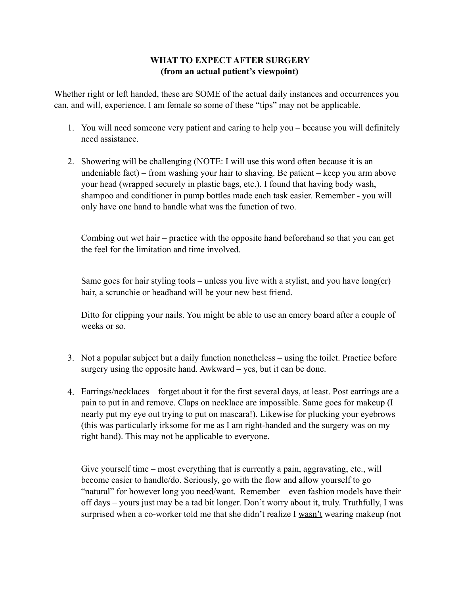## **WHAT TO EXPECT AFTER SURGERY (from an actual patient's viewpoint)**

Whether right or left handed, these are SOME of the actual daily instances and occurrences you can, and will, experience. I am female so some of these "tips" may not be applicable.

- 1. You will need someone very patient and caring to help you because you will definitely need assistance.
- 2. Showering will be challenging (NOTE: I will use this word often because it is an undeniable fact) – from washing your hair to shaving. Be patient – keep you arm above your head (wrapped securely in plastic bags, etc.). I found that having body wash, shampoo and conditioner in pump bottles made each task easier. Remember - you will only have one hand to handle what was the function of two.

Combing out wet hair – practice with the opposite hand beforehand so that you can get the feel for the limitation and time involved.

Same goes for hair styling tools – unless you live with a stylist, and you have long(er) hair, a scrunchie or headband will be your new best friend.

Ditto for clipping your nails. You might be able to use an emery board after a couple of weeks or so.

- 3. Not a popular subject but a daily function nonetheless using the toilet. Practice before surgery using the opposite hand. Awkward – yes, but it can be done.
- 4. Earrings/necklaces forget about it for the first several days, at least. Post earrings are a pain to put in and remove. Claps on necklace are impossible. Same goes for makeup (I nearly put my eye out trying to put on mascara!). Likewise for plucking your eyebrows (this was particularly irksome for me as I am right-handed and the surgery was on my right hand). This may not be applicable to everyone.

Give yourself time – most everything that is currently a pain, aggravating, etc., will become easier to handle/do. Seriously, go with the flow and allow yourself to go "natural" for however long you need/want. Remember – even fashion models have their off days – yours just may be a tad bit longer. Don't worry about it, truly. Truthfully, I was surprised when a co-worker told me that she didn't realize I wasn't wearing makeup (not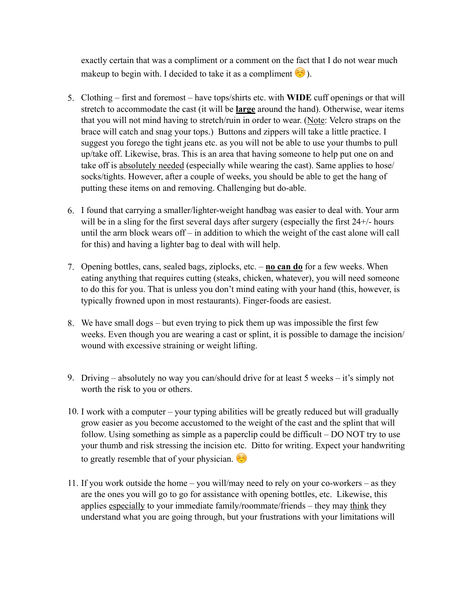exactly certain that was a compliment or a comment on the fact that I do not wear much makeup to begin with. I decided to take it as a compliment  $\odot$ ).

- 5. Clothing first and foremost have tops/shirts etc. with **WIDE** cuff openings or that will stretch to accommodate the cast (it will be **large** around the hand). Otherwise, wear items that you will not mind having to stretch/ruin in order to wear. (Note: Velcro straps on the brace will catch and snag your tops.) Buttons and zippers will take a little practice. I suggest you forego the tight jeans etc. as you will not be able to use your thumbs to pull up/take off. Likewise, bras. This is an area that having someone to help put one on and take off is absolutely needed (especially while wearing the cast). Same applies to hose/ socks/tights. However, after a couple of weeks, you should be able to get the hang of putting these items on and removing. Challenging but do-able.
- 6. I found that carrying a smaller/lighter-weight handbag was easier to deal with. Your arm will be in a sling for the first several days after surgery (especially the first 24+/- hours until the arm block wears off – in addition to which the weight of the cast alone will call for this) and having a lighter bag to deal with will help.
- 7. Opening bottles, cans, sealed bags, ziplocks, etc. **no can do** for a few weeks. When eating anything that requires cutting (steaks, chicken, whatever), you will need someone to do this for you. That is unless you don't mind eating with your hand (this, however, is typically frowned upon in most restaurants). Finger-foods are easiest.
- 8. We have small dogs but even trying to pick them up was impossible the first few weeks. Even though you are wearing a cast or splint, it is possible to damage the incision/ wound with excessive straining or weight lifting.
- 9. Driving absolutely no way you can/should drive for at least 5 weeks it's simply not worth the risk to you or others.
- 10. I work with a computer your typing abilities will be greatly reduced but will gradually grow easier as you become accustomed to the weight of the cast and the splint that will follow. Using something as simple as a paperclip could be difficult – DO NOT try to use your thumb and risk stressing the incision etc. Ditto for writing. Expect your handwriting to greatly resemble that of your physician.
- 11. If you work outside the home you will/may need to rely on your co-workers as they are the ones you will go to go for assistance with opening bottles, etc. Likewise, this applies especially to your immediate family/roommate/friends – they may think they understand what you are going through, but your frustrations with your limitations will